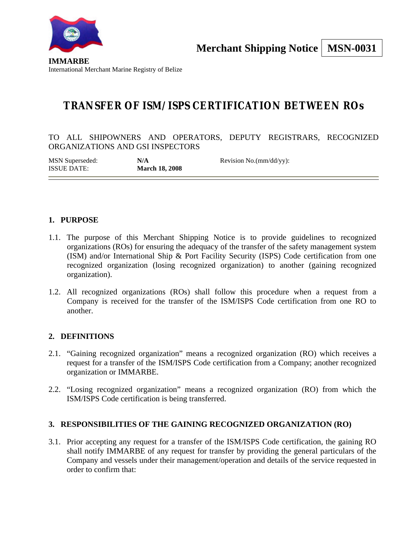

**IMMARBE** International Merchant Marine Registry of Belize

# **TRANSFER OF ISM/ISPS CERTIFICATION BETWEEN ROs**

TO ALL SHIPOWNERS AND OPERATORS, DEPUTY REGISTRARS, RECOGNIZED ORGANIZATIONS AND GSI INSPECTORS

| MSN Superseded:    | N/A                   | Revision No.(mm/dd/yy): |
|--------------------|-----------------------|-------------------------|
| <b>ISSUE DATE:</b> | <b>March 18, 2008</b> |                         |

### **1. PURPOSE**

- 1.1. The purpose of this Merchant Shipping Notice is to provide guidelines to recognized organizations (ROs) for ensuring the adequacy of the transfer of the safety management system (ISM) and/or International Ship & Port Facility Security (ISPS) Code certification from one recognized organization (losing recognized organization) to another (gaining recognized organization).
- 1.2. All recognized organizations (ROs) shall follow this procedure when a request from a Company is received for the transfer of the ISM/ISPS Code certification from one RO to another.

#### **2. DEFINITIONS**

- 2.1. "Gaining recognized organization" means a recognized organization (RO) which receives a request for a transfer of the ISM/ISPS Code certification from a Company; another recognized organization or IMMARBE.
- 2.2. "Losing recognized organization" means a recognized organization (RO) from which the ISM/ISPS Code certification is being transferred.

#### **3. RESPONSIBILITIES OF THE GAINING RECOGNIZED ORGANIZATION (RO)**

3.1. Prior accepting any request for a transfer of the ISM/ISPS Code certification, the gaining RO shall notify IMMARBE of any request for transfer by providing the general particulars of the Company and vessels under their management/operation and details of the service requested in order to confirm that: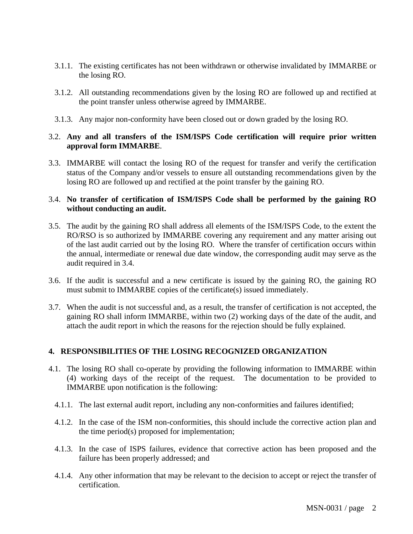- 3.1.1. The existing certificates has not been withdrawn or otherwise invalidated by IMMARBE or the losing RO.
- 3.1.2. All outstanding recommendations given by the losing RO are followed up and rectified at the point transfer unless otherwise agreed by IMMARBE.
- 3.1.3. Any major non-conformity have been closed out or down graded by the losing RO.

#### 3.2. **Any and all transfers of the ISM/ISPS Code certification will require prior written approval form IMMARBE**.

3.3. IMMARBE will contact the losing RO of the request for transfer and verify the certification status of the Company and/or vessels to ensure all outstanding recommendations given by the losing RO are followed up and rectified at the point transfer by the gaining RO.

#### 3.4. **No transfer of certification of ISM/ISPS Code shall be performed by the gaining RO without conducting an audit.**

- 3.5. The audit by the gaining RO shall address all elements of the ISM/ISPS Code, to the extent the RO/RSO is so authorized by IMMARBE covering any requirement and any matter arising out of the last audit carried out by the losing RO. Where the transfer of certification occurs within the annual, intermediate or renewal due date window, the corresponding audit may serve as the audit required in 3.4.
- 3.6. If the audit is successful and a new certificate is issued by the gaining RO, the gaining RO must submit to IMMARBE copies of the certificate(s) issued immediately.
- 3.7. When the audit is not successful and, as a result, the transfer of certification is not accepted, the gaining RO shall inform IMMARBE, within two (2) working days of the date of the audit, and attach the audit report in which the reasons for the rejection should be fully explained.

#### **4. RESPONSIBILITIES OF THE LOSING RECOGNIZED ORGANIZATION**

- 4.1. The losing RO shall co-operate by providing the following information to IMMARBE within (4) working days of the receipt of the request. The documentation to be provided to IMMARBE upon notification is the following:
	- 4.1.1. The last external audit report, including any non-conformities and failures identified;
	- 4.1.2. In the case of the ISM non-conformities, this should include the corrective action plan and the time period(s) proposed for implementation;
	- 4.1.3. In the case of ISPS failures, evidence that corrective action has been proposed and the failure has been properly addressed; and
	- 4.1.4. Any other information that may be relevant to the decision to accept or reject the transfer of certification.